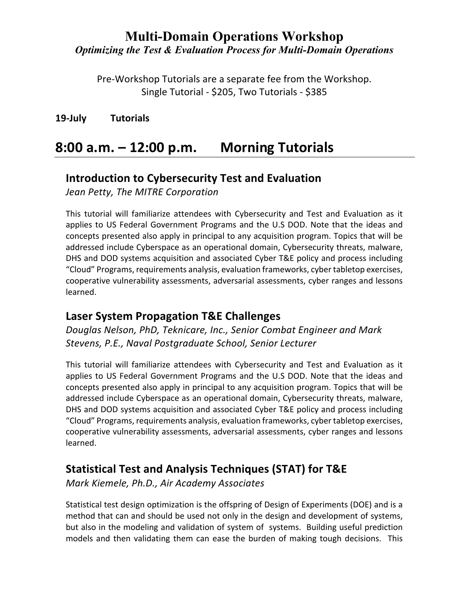Pre-Workshop Tutorials are a separate fee from the Workshop. Single Tutorial - \$205, Two Tutorials - \$385

**19-July Tutorials**

# **8:00 a.m. – 12:00 p.m. Morning Tutorials**

#### **Introduction to Cybersecurity Test and Evaluation**

*Jean Petty, The MITRE Corporation*

This tutorial will familiarize attendees with Cybersecurity and Test and Evaluation as it applies to US Federal Government Programs and the U.S DOD. Note that the ideas and concepts presented also apply in principal to any acquisition program. Topics that will be addressed include Cyberspace as an operational domain, Cybersecurity threats, malware, DHS and DOD systems acquisition and associated Cyber T&E policy and process including "Cloud" Programs, requirements analysis, evaluation frameworks, cyber tabletop exercises, cooperative vulnerability assessments, adversarial assessments, cyber ranges and lessons learned.

#### **Laser System Propagation T&E Challenges**

*Douglas Nelson, PhD, Teknicare, Inc., Senior Combat Engineer and Mark Stevens, P.E., Naval Postgraduate School, Senior Lecturer*

This tutorial will familiarize attendees with Cybersecurity and Test and Evaluation as it applies to US Federal Government Programs and the U.S DOD. Note that the ideas and concepts presented also apply in principal to any acquisition program. Topics that will be addressed include Cyberspace as an operational domain, Cybersecurity threats, malware, DHS and DOD systems acquisition and associated Cyber T&E policy and process including "Cloud" Programs, requirements analysis, evaluation frameworks, cyber tabletop exercises, cooperative vulnerability assessments, adversarial assessments, cyber ranges and lessons learned.

## **Statistical Test and Analysis Techniques (STAT) for T&E**

*Mark Kiemele, Ph.D., Air Academy Associates*

Statistical test design optimization is the offspring of Design of Experiments (DOE) and is a method that can and should be used not only in the design and development of systems, but also in the modeling and validation of system of systems. Building useful prediction models and then validating them can ease the burden of making tough decisions. This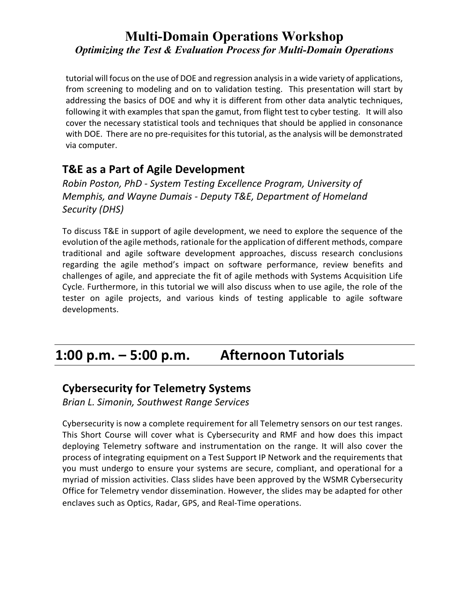tutorial will focus on the use of DOE and regression analysis in a wide variety of applications, from screening to modeling and on to validation testing. This presentation will start by addressing the basics of DOE and why it is different from other data analytic techniques, following it with examples that span the gamut, from flight test to cyber testing. It will also cover the necessary statistical tools and techniques that should be applied in consonance with DOE. There are no pre-requisites for this tutorial, as the analysis will be demonstrated via computer.

## **T&E as a Part of Agile Development**

*Robin Poston, PhD - System Testing Excellence Program, University of Memphis, and Wayne Dumais - Deputy T&E, Department of Homeland Security (DHS)*

To discuss T&E in support of agile development, we need to explore the sequence of the evolution of the agile methods, rationale for the application of different methods, compare traditional and agile software development approaches, discuss research conclusions regarding the agile method's impact on software performance, review benefits and challenges of agile, and appreciate the fit of agile methods with Systems Acquisition Life Cycle. Furthermore, in this tutorial we will also discuss when to use agile, the role of the tester on agile projects, and various kinds of testing applicable to agile software developments.

# **1:00 p.m. – 5:00 p.m. Afternoon Tutorials**

#### **Cybersecurity for Telemetry Systems**

*Brian L. Simonin, Southwest Range Services*

Cybersecurity is now a complete requirement for all Telemetry sensors on our test ranges. This Short Course will cover what is Cybersecurity and RMF and how does this impact deploying Telemetry software and instrumentation on the range. It will also cover the process of integrating equipment on a Test Support IP Network and the requirements that you must undergo to ensure your systems are secure, compliant, and operational for a myriad of mission activities. Class slides have been approved by the WSMR Cybersecurity Office for Telemetry vendor dissemination. However, the slides may be adapted for other enclaves such as Optics, Radar, GPS, and Real-Time operations.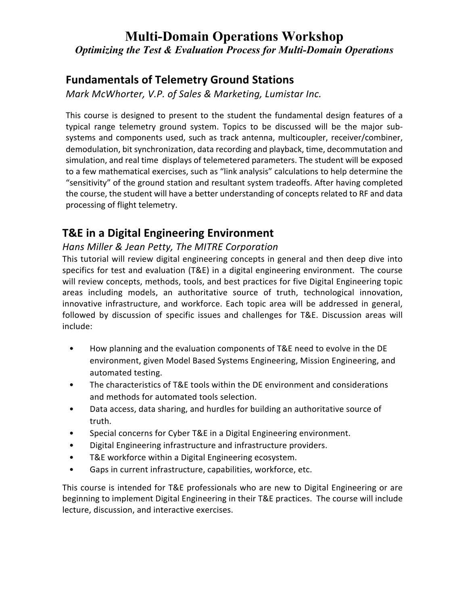### **Fundamentals of Telemetry Ground Stations**

*Mark McWhorter, V.P. of Sales & Marketing, Lumistar Inc.*

This course is designed to present to the student the fundamental design features of a typical range telemetry ground system. Topics to be discussed will be the major subsystems and components used, such as track antenna, multicoupler, receiver/combiner, demodulation, bit synchronization, data recording and playback, time, decommutation and simulation, and real time displays of telemetered parameters. The student will be exposed to a few mathematical exercises, such as "link analysis" calculations to help determine the "sensitivity" of the ground station and resultant system tradeoffs. After having completed the course, the student will have a better understanding of concepts related to RF and data processing of flight telemetry.

## **T&E in a Digital Engineering Environment**

#### *Hans Miller & Jean Petty, The MITRE Corporation*

This tutorial will review digital engineering concepts in general and then deep dive into specifics for test and evaluation (T&E) in a digital engineering environment. The course will review concepts, methods, tools, and best practices for five Digital Engineering topic areas including models, an authoritative source of truth, technological innovation, innovative infrastructure, and workforce. Each topic area will be addressed in general, followed by discussion of specific issues and challenges for T&E. Discussion areas will include:

- How planning and the evaluation components of T&E need to evolve in the DE environment, given Model Based Systems Engineering, Mission Engineering, and automated testing.
- The characteristics of T&E tools within the DE environment and considerations and methods for automated tools selection.
- Data access, data sharing, and hurdles for building an authoritative source of truth.
- Special concerns for Cyber T&E in a Digital Engineering environment.
- Digital Engineering infrastructure and infrastructure providers.
- T&E workforce within a Digital Engineering ecosystem.
- Gaps in current infrastructure, capabilities, workforce, etc.

This course is intended for T&E professionals who are new to Digital Engineering or are beginning to implement Digital Engineering in their T&E practices. The course will include lecture, discussion, and interactive exercises.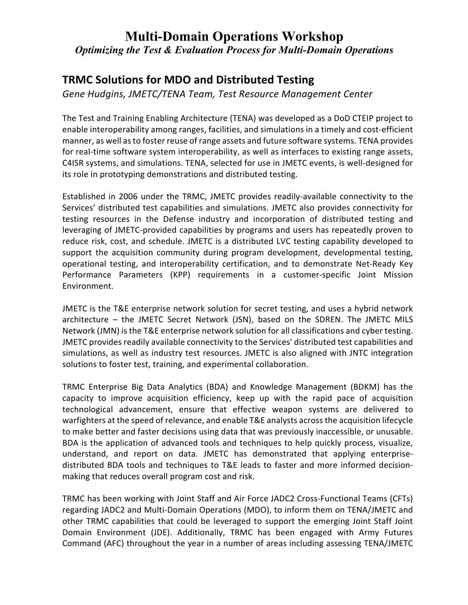## **TRMC Solutions for MDO and Distributed Testing**

*Gene Hudgins, JMETC/TENA Team, Test Resource Management Center*

The Test and Training Enabling Architecture (TENA) was developed as a DoD CTEIP project to enable interoperability among ranges, facilities, and simulations in a timely and cost-efficient manner, as well as to foster reuse of range assets and future software systems. TENA provides for real-time software system interoperability, as well as interfaces to existing range assets, C4ISR systems, and simulations. TENA, selected for use in JMETC events, is well-designed for its role in prototyping demonstrations and distributed testing.

Established in 2006 under the TRMC, JMETC provides readily-available connectivity to the Services' distributed test capabilities and simulations. JMETC also provides connectivity for testing resources in the Defense industry and incorporation of distributed testing and leveraging of JMETC-provided capabilities by programs and users has repeatedly proven to reduce risk, cost, and schedule. JMETC is a distributed LVC testing capability developed to support the acquisition community during program development, developmental testing, operational testing, and interoperability certification, and to demonstrate Net-Ready Key Performance Parameters (KPP) requirements in a customer-specific Joint Mission Environment.

JMETC is the T&E enterprise network solution for secret testing, and uses a hybrid network architecture – the JMETC Secret Network (JSN), based on the SDREN. The JMETC MILS Network (JMN) is the T&E enterprise network solution for all classifications and cyber testing. JMETC provides readily available connectivity to the Services' distributed test capabilities and simulations, as well as industry test resources. JMETC is also aligned with JNTC integration solutions to foster test, training, and experimental collaboration.

TRMC Enterprise Big Data Analytics (BDA) and Knowledge Management (BDKM) has the capacity to improve acquisition efficiency, keep up with the rapid pace of acquisition technological advancement, ensure that effective weapon systems are delivered to warfighters at the speed of relevance, and enable T&E analysts across the acquisition lifecycle to make better and faster decisions using data that was previously inaccessible, or unusable. BDA is the application of advanced tools and techniques to help quickly process, visualize, understand, and report on data. JMETC has demonstrated that applying enterprisedistributed BDA tools and techniques to T&E leads to faster and more informed decisionmaking that reduces overall program cost and risk.

TRMC has been working with Joint Staff and Air Force JADC2 Cross-Functional Teams (CFTs) regarding JADC2 and Multi-Domain Operations (MDO), to inform them on TENA/JMETC and other TRMC capabilities that could be leveraged to support the emerging Joint Staff Joint Domain Environment (JDE). Additionally, TRMC has been engaged with Army Futures Command (AFC) throughout the year in a number of areas including assessing TENA/JMETC